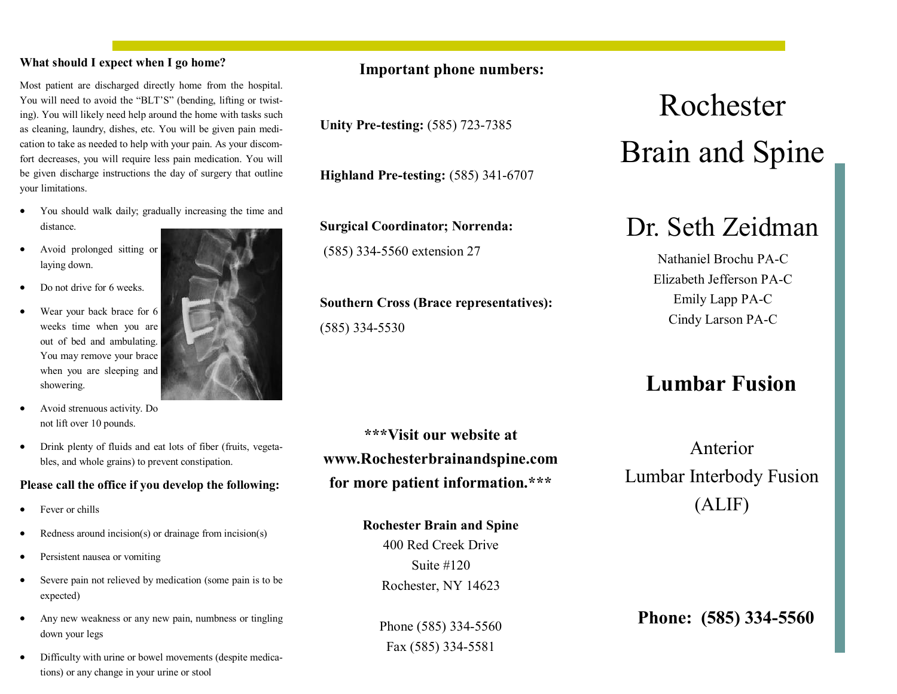#### **What should I expect when I go home?**

Most patient are discharged directly home from the hospital. You will need to avoid the "BLT'S" (bending, lifting or twisting). You will likely need help around the home with tasks such as cleaning, laundry, dishes, etc. You will be given pain medication to take as needed to help with your pain. As your discomfort decreases, you will require less pain medication. You will be given discharge instructions the day of surgery that outline your limitations.

- You should walk daily; gradually increasing the time and distance.
- Avoid prolonged sitting or laying down.
- Do not drive for 6 weeks.
- Wear your back brace for 6 weeks time when you are out of bed and ambulating. You may remove your brace when you are sleeping and showering.
- Avoid strenuous activity. Do not lift over 10 pounds.
- Drink plenty of fluids and eat lots of fiber (fruits, vegetables, and whole grains) to prevent constipation.

#### **Please call the office if you develop the following:**

- Fever or chills
- Redness around incision(s) or drainage from incision(s)
- Persistent nausea or vomiting
- Severe pain not relieved by medication (some pain is to be expected)
- Any new weakness or any new pain, numbness or tingling down your legs
- Difficulty with urine or bowel movements (despite medications) or any change in your urine or stool

## **Unity Pre-testing:** (585) 723-7385 **Highland Pre-testing:** (585) 341-6707

**Surgical Coordinator; Norrenda:** 

(585) 334-5560 extension 27

**Southern Cross (Brace representatives):** (585) 334-5530

**Important phone numbers:**

# Rochester Brain and Spine

## Dr. Seth Zeidman

Nathaniel Brochu PA-C Elizabeth Jefferson PA-C Emily Lapp PA-C Cindy Larson PA-C

### **Lumbar Fusion**

Anterior Lumbar Interbody Fusion (ALIF)

**Phone: (585) 334-5560**

**\*\*\*Visit our website at www.Rochesterbrainandspine.com**

**for more patient information.\*\*\***

### **Rochester Brain and Spine** 400 Red Creek Drive

Suite  $#120$ Rochester, NY 14623

Phone (585) 334-5560 Fax (585) 334-5581